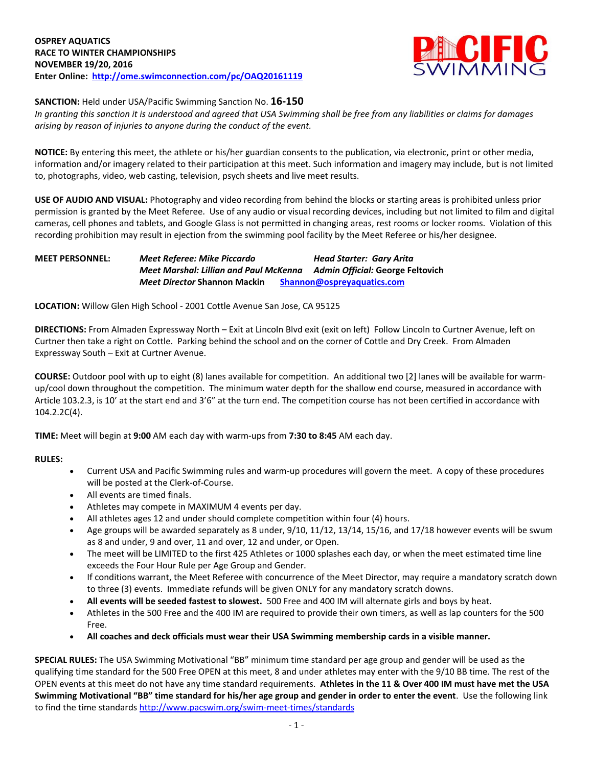

# **SANCTION:** Held under USA/Pacific Swimming Sanction No. **16-150**

*In granting this sanction it is understood and agreed that USA Swimming shall be free from any liabilities or claims for damages arising by reason of injuries to anyone during the conduct of the event.*

**NOTICE:** By entering this meet, the athlete or his/her guardian consents to the publication, via electronic, print or other media, information and/or imagery related to their participation at this meet. Such information and imagery may include, but is not limited to, photographs, video, web casting, television, psych sheets and live meet results.

**USE OF AUDIO AND VISUAL:** Photography and video recording from behind the blocks or starting areas is prohibited unless prior permission is granted by the Meet Referee. Use of any audio or visual recording devices, including but not limited to film and digital cameras, cell phones and tablets, and Google Glass is not permitted in changing areas, rest rooms or locker rooms. Violation of this recording prohibition may result in ejection from the swimming pool facility by the Meet Referee or his/her designee.

## **MEET PERSONNEL:** *Meet Referee: Mike Piccardo Head Starter: Gary Arita Meet Marshal: Lillian and Paul McKenna Admin Official:* **George Feltovich** *Meet Director* **Shannon Mackin [Shannon@ospreyaquatics.com](mailto:Shannon@ospreyaquatics.com)**

**LOCATION:** Willow Glen High School - 2001 Cottle Avenue San Jose, CA 95125

**DIRECTIONS:** From Almaden Expressway North – Exit at Lincoln Blvd exit (exit on left) Follow Lincoln to Curtner Avenue, left on Curtner then take a right on Cottle. Parking behind the school and on the corner of Cottle and Dry Creek. From Almaden Expressway South – Exit at Curtner Avenue.

**COURSE:** Outdoor pool with up to eight (8) lanes available for competition. An additional two [2] lanes will be available for warmup/cool down throughout the competition. The minimum water depth for the shallow end course, measured in accordance with Article 103.2.3, is 10' at the start end and 3'6" at the turn end. The competition course has not been certified in accordance with 104.2.2C(4).

**TIME:** Meet will begin at **9:00** AM each day with warm-ups from **7:30 to 8:45** AM each day.

#### **RULES:**

- Current USA and Pacific Swimming rules and warm-up procedures will govern the meet. A copy of these procedures will be posted at the Clerk-of-Course.
- All events are timed finals.
- Athletes may compete in MAXIMUM 4 events per day.
- All athletes ages 12 and under should complete competition within four (4) hours.
- Age groups will be awarded separately as 8 under, 9/10, 11/12, 13/14, 15/16, and 17/18 however events will be swum as 8 and under, 9 and over, 11 and over, 12 and under, or Open.
- The meet will be LIMITED to the first 425 Athletes or 1000 splashes each day, or when the meet estimated time line exceeds the Four Hour Rule per Age Group and Gender.
- If conditions warrant, the Meet Referee with concurrence of the Meet Director, may require a mandatory scratch down to three (3) events. Immediate refunds will be given ONLY for any mandatory scratch downs.
- **All events will be seeded fastest to slowest.** 500 Free and 400 IM will alternate girls and boys by heat.
- Athletes in the 500 Free and the 400 IM are required to provide their own timers, as well as lap counters for the 500 Free.
- **All coaches and deck officials must wear their USA Swimming membership cards in a visible manner.**

**SPECIAL RULES:** The USA Swimming Motivational "BB" minimum time standard per age group and gender will be used as the qualifying time standard for the 500 Free OPEN at this meet, 8 and under athletes may enter with the 9/10 BB time. The rest of the OPEN events at this meet do not have any time standard requirements. **Athletes in the 11 & Over 400 IM must have met the USA Swimming Motivational "BB" time standard for his/her age group and gender in order to enter the event**. Use the following link to find the time standards<http://www.pacswim.org/swim-meet-times/standards>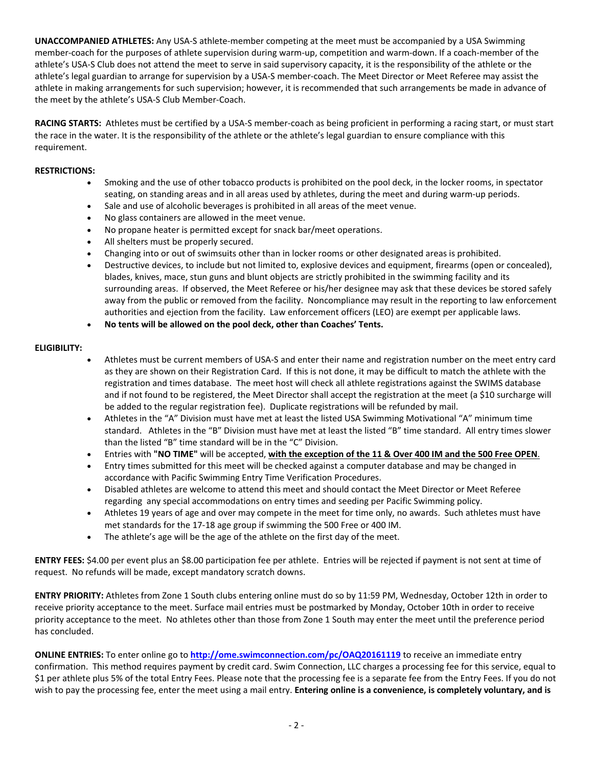**UNACCOMPANIED ATHLETES:** Any USA-S athlete-member competing at the meet must be accompanied by a USA Swimming member-coach for the purposes of athlete supervision during warm-up, competition and warm-down. If a coach-member of the athlete's USA-S Club does not attend the meet to serve in said supervisory capacity, it is the responsibility of the athlete or the athlete's legal guardian to arrange for supervision by a USA-S member-coach. The Meet Director or Meet Referee may assist the athlete in making arrangements for such supervision; however, it is recommended that such arrangements be made in advance of the meet by the athlete's USA-S Club Member-Coach.

**RACING STARTS:** Athletes must be certified by a USA-S member-coach as being proficient in performing a racing start, or must start the race in the water. It is the responsibility of the athlete or the athlete's legal guardian to ensure compliance with this requirement.

## **RESTRICTIONS:**

- Smoking and the use of other tobacco products is prohibited on the pool deck, in the locker rooms, in spectator seating, on standing areas and in all areas used by athletes, during the meet and during warm-up periods.
- Sale and use of alcoholic beverages is prohibited in all areas of the meet venue.
- No glass containers are allowed in the meet venue.
- No propane heater is permitted except for snack bar/meet operations.
- All shelters must be properly secured.
- Changing into or out of swimsuits other than in locker rooms or other designated areas is prohibited.
- Destructive devices, to include but not limited to, explosive devices and equipment, firearms (open or concealed), blades, knives, mace, stun guns and blunt objects are strictly prohibited in the swimming facility and its surrounding areas. If observed, the Meet Referee or his/her designee may ask that these devices be stored safely away from the public or removed from the facility. Noncompliance may result in the reporting to law enforcement authorities and ejection from the facility. Law enforcement officers (LEO) are exempt per applicable laws.
- **No tents will be allowed on the pool deck, other than Coaches' Tents.**

# **ELIGIBILITY:**

- Athletes must be current members of USA-S and enter their name and registration number on the meet entry card as they are shown on their Registration Card. If this is not done, it may be difficult to match the athlete with the registration and times database. The meet host will check all athlete registrations against the SWIMS database and if not found to be registered, the Meet Director shall accept the registration at the meet (a \$10 surcharge will be added to the regular registration fee). Duplicate registrations will be refunded by mail.
- Athletes in the "A" Division must have met at least the listed USA Swimming Motivational "A" minimum time standard. Athletes in the "B" Division must have met at least the listed "B" time standard. All entry times slower than the listed "B" time standard will be in the "C" Division.
- Entries with **"NO TIME"** will be accepted, **with the exception of the 11 & Over 400 IM and the 500 Free OPEN**.
- Entry times submitted for this meet will be checked against a computer database and may be changed in accordance with Pacific Swimming Entry Time Verification Procedures.
- Disabled athletes are welcome to attend this meet and should contact the Meet Director or Meet Referee regarding any special accommodations on entry times and seeding per Pacific Swimming policy.
- Athletes 19 years of age and over may compete in the meet for time only, no awards. Such athletes must have met standards for the 17-18 age group if swimming the 500 Free or 400 IM.
- The athlete's age will be the age of the athlete on the first day of the meet.

**ENTRY FEES:** \$4.00 per event plus an \$8.00 participation fee per athlete. Entries will be rejected if payment is not sent at time of request. No refunds will be made, except mandatory scratch downs.

**ENTRY PRIORITY:** Athletes from Zone 1 South clubs entering online must do so by 11:59 PM, Wednesday, October 12th in order to receive priority acceptance to the meet. Surface mail entries must be postmarked by Monday, October 10th in order to receive priority acceptance to the meet. No athletes other than those from Zone 1 South may enter the meet until the preference period has concluded.

**ONLINE ENTRIES:** To enter online go to **<http://ome.swimconnection.com/pc/OAQ20161119>** to receive an immediate entry confirmation. This method requires payment by credit card. Swim Connection, LLC charges a processing fee for this service, equal to \$1 per athlete plus 5% of the total Entry Fees. Please note that the processing fee is a separate fee from the Entry Fees. If you do not wish to pay the processing fee, enter the meet using a mail entry. **Entering online is a convenience, is completely voluntary, and is**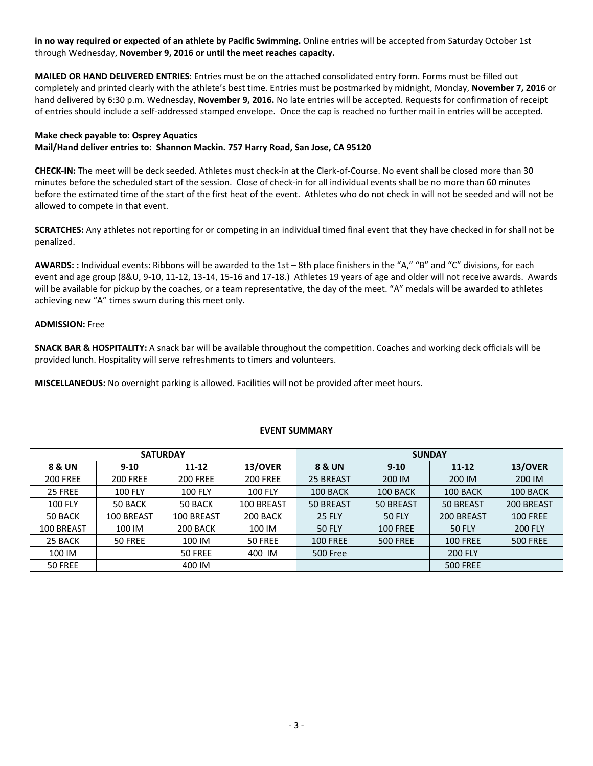**in no way required or expected of an athlete by Pacific Swimming.** Online entries will be accepted from Saturday October 1st through Wednesday, **November 9, 2016 or until the meet reaches capacity.**

**MAILED OR HAND DELIVERED ENTRIES**: Entries must be on the attached consolidated entry form. Forms must be filled out completely and printed clearly with the athlete's best time. Entries must be postmarked by midnight, Monday, **November 7, 2016** or hand delivered by 6:30 p.m. Wednesday, **November 9, 2016.** No late entries will be accepted. Requests for confirmation of receipt of entries should include a self-addressed stamped envelope. Once the cap is reached no further mail in entries will be accepted.

# **Make check payable to**: **Osprey Aquatics Mail/Hand deliver entries to: Shannon Mackin. 757 Harry Road, San Jose, CA 95120**

**CHECK-IN:** The meet will be deck seeded. Athletes must check-in at the Clerk-of-Course. No event shall be closed more than 30 minutes before the scheduled start of the session. Close of check-in for all individual events shall be no more than 60 minutes before the estimated time of the start of the first heat of the event. Athletes who do not check in will not be seeded and will not be allowed to compete in that event.

**SCRATCHES:** Any athletes not reporting for or competing in an individual timed final event that they have checked in for shall not be penalized.

**AWARDS: :** Individual events: Ribbons will be awarded to the 1st – 8th place finishers in the "A," "B" and "C" divisions, for each event and age group (8&U, 9-10, 11-12, 13-14, 15-16 and 17-18.) Athletes 19 years of age and older will not receive awards. Awards will be available for pickup by the coaches, or a team representative, the day of the meet. "A" medals will be awarded to athletes achieving new "A" times swum during this meet only.

#### **ADMISSION:** Free

**SNACK BAR & HOSPITALITY:** A snack bar will be available throughout the competition. Coaches and working deck officials will be provided lunch. Hospitality will serve refreshments to timers and volunteers.

**MISCELLANEOUS:** No overnight parking is allowed. Facilities will not be provided after meet hours.

| <b>SATURDAY</b> |                 |                 |                 | <b>SUNDAY</b>   |                       |                  |                 |  |  |
|-----------------|-----------------|-----------------|-----------------|-----------------|-----------------------|------------------|-----------------|--|--|
| 8 & UN          | $9 - 10$        | $11 - 12$       | 13/OVER         | 8 & UN          | $9 - 10$<br>$11 - 12$ |                  | 13/OVER         |  |  |
| <b>200 FREE</b> | <b>200 FREE</b> | <b>200 FREE</b> | <b>200 FREE</b> | 25 BREAST       | 200 IM                | 200 IM           | 200 IM          |  |  |
| 25 FREE         | <b>100 FLY</b>  | <b>100 FLY</b>  | <b>100 FLY</b>  | 100 BACK        | 100 BACK              | 100 BACK         | 100 BACK        |  |  |
| <b>100 FLY</b>  | 50 BACK         | 50 BACK         | 100 BREAST      | 50 BREAST       | 50 BREAST             | <b>50 BREAST</b> | 200 BREAST      |  |  |
| 50 BACK         | 100 BREAST      | 100 BREAST      | 200 BACK        | <b>25 FLY</b>   | <b>50 FLY</b>         | 200 BREAST       | <b>100 FREE</b> |  |  |
| 100 BREAST      | 100 IM          | 200 BACK        | 100 IM          | <b>50 FLY</b>   | <b>100 FREE</b>       | <b>50 FLY</b>    | <b>200 FLY</b>  |  |  |
| 25 BACK         | 50 FREE         | 100 IM          | 50 FREE         | <b>100 FREE</b> | <b>500 FREE</b>       | <b>100 FREE</b>  | <b>500 FREE</b> |  |  |
| 100 IM          |                 | 50 FREE         | 400 IM          | <b>500 Free</b> |                       | <b>200 FLY</b>   |                 |  |  |
| 50 FREE         |                 | 400 IM          |                 |                 |                       | <b>500 FREE</b>  |                 |  |  |

#### **EVENT SUMMARY**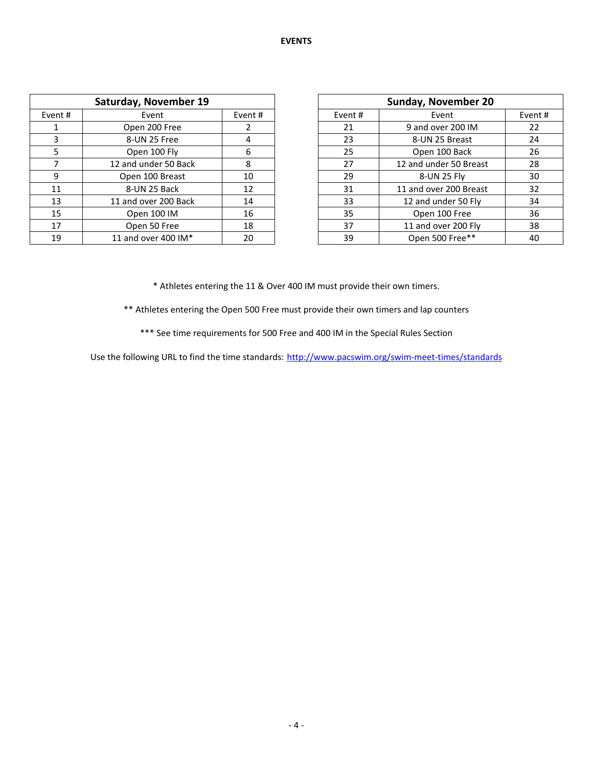|         | Saturday, November 19 |         |         | <b>Sunday, November 20</b> |        |  |  |
|---------|-----------------------|---------|---------|----------------------------|--------|--|--|
| Event # | Event                 | Event # | Event # | Event                      | Event# |  |  |
|         | Open 200 Free         |         | 21      | 9 and over 200 IM          | 22     |  |  |
|         | 8-UN 25 Free          | 4       | 23      | 8-UN 25 Breast             | 24     |  |  |
| 5.      | Open 100 Fly          | 6       | 25      | Open 100 Back              | 26     |  |  |
|         | 12 and under 50 Back  | 8       | 27      | 12 and under 50 Breast     | 28     |  |  |
| 9       | Open 100 Breast       | 10      | 29      | 8-UN 25 Fly                | 30     |  |  |
| 11      | 8-UN 25 Back          | 12      | 31      | 11 and over 200 Breast     | 32     |  |  |
| 13      | 11 and over 200 Back  | 14      | 33      | 12 and under 50 Fly        | 34     |  |  |
| 15      | Open 100 IM           | 16      | 35      | Open 100 Free              | 36     |  |  |
| 17      | Open 50 Free          | 18      | 37      | 11 and over 200 Fly        | 38     |  |  |
| 19      | 11 and over 400 IM*   | 20      | 39      | Open 500 Free**            | 40     |  |  |

| <b>Sunday, November 20</b> |                        |        |  |  |  |  |  |
|----------------------------|------------------------|--------|--|--|--|--|--|
| Event#                     | Event                  | Event# |  |  |  |  |  |
| 21                         | 9 and over 200 IM      | 22     |  |  |  |  |  |
| 23                         | 8-UN 25 Breast         | 24     |  |  |  |  |  |
| 25                         | Open 100 Back          | 26     |  |  |  |  |  |
| 27                         | 12 and under 50 Breast | 28     |  |  |  |  |  |
| 29                         | 8-UN 25 Fly            | 30     |  |  |  |  |  |
| 31                         | 11 and over 200 Breast | 32     |  |  |  |  |  |
| 33                         | 12 and under 50 Fly    | 34     |  |  |  |  |  |
| 35                         | Open 100 Free          | 36     |  |  |  |  |  |
| 37                         | 11 and over 200 Fly    | 38     |  |  |  |  |  |
| 39                         | Open 500 Free**        | 40     |  |  |  |  |  |

\* Athletes entering the 11 & Over 400 IM must provide their own timers.

\*\* Athletes entering the Open 500 Free must provide their own timers and lap counters

\*\*\* See time requirements for 500 Free and 400 IM in the Special Rules Section

Use the following URL to find the time standards: <http://www.pacswim.org/swim-meet-times/standards>